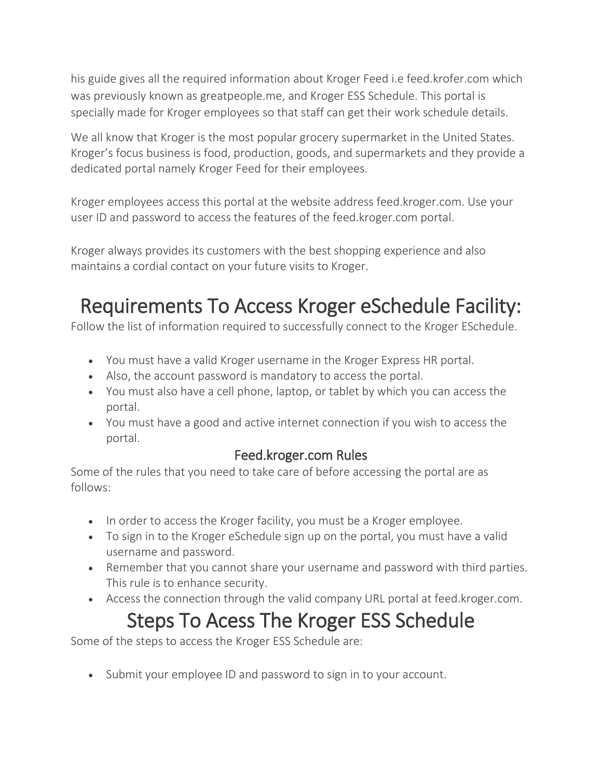his guide gives all the required information about Kroger Feed i.e feed.krofer.com which was previously known as greatpeople.me, and Kroger ESS Schedule. This portal is specially made for Kroger employees so that staff can get their work schedule details.

We all know that Kroger is the most popular grocery supermarket in the United States. Kroger's focus business is food, production, goods, and supermarkets and they provide a dedicated portal namely Kroger Feed for their employees.

Kroger employees access this portal at the website address feed.kroger.com. Use your user ID and password to access the features of the feed.kroger.com portal.

Kroger always provides its customers with the best shopping experience and also maintains a cordial contact on your future visits to Kroger.

# Requirements To Access Kroger eSchedule Facility:

Follow the list of information required to successfully connect to the Kroger ESchedule.

- You must have a valid Kroger username in the Kroger Express HR portal.
- Also, the account password is mandatory to access the portal.
- You must also have a cell phone, laptop, or tablet by which you can access the portal.
- You must have a good and active internet connection if you wish to access the portal.

#### Feed.kroger.com Rules

Some of the rules that you need to take care of before accessing the portal are as follows:

- In order to access the Kroger facility, you must be a Kroger employee.
- To sign in to the Kroger eSchedule sign up on the portal, you must have a valid username and password.
- Remember that you cannot share your username and password with third parties. This rule is to enhance security.
- Access the connection through the valid company URL portal at feed.kroger.com.

# Steps To Acess The Kroger ESS Schedule

Some of the steps to access the Kroger ESS Schedule are:

• Submit your employee ID and password to sign in to your account.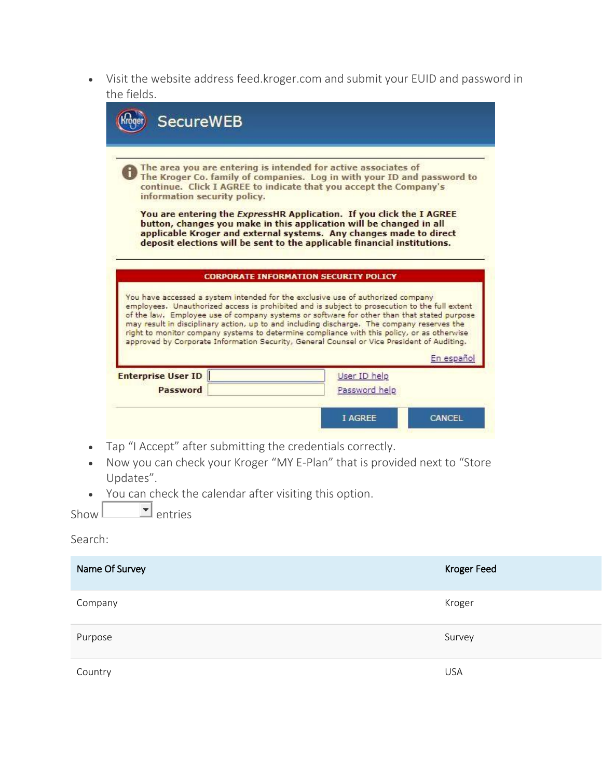• Visit the website address feed.kroger.com and submit your EUID and password in the fields.

| information security policy. | The area you are entering is intended for active associates of<br>The Kroger Co. family of companies. Log in with your ID and password to<br>continue. Click I AGREE to indicate that you accept the Company's                                                                                                                                                                                                                                                                                                                                                                         |
|------------------------------|----------------------------------------------------------------------------------------------------------------------------------------------------------------------------------------------------------------------------------------------------------------------------------------------------------------------------------------------------------------------------------------------------------------------------------------------------------------------------------------------------------------------------------------------------------------------------------------|
|                              | You are entering the <i>ExpressHR</i> Application. If you click the I AGREE<br>button, changes you make in this application will be changed in all<br>applicable Kroger and external systems. Any changes made to direct<br>deposit elections will be sent to the applicable financial institutions.                                                                                                                                                                                                                                                                                   |
|                              |                                                                                                                                                                                                                                                                                                                                                                                                                                                                                                                                                                                        |
|                              | <b>CORPORATE INFORMATION SECURITY POLICY</b>                                                                                                                                                                                                                                                                                                                                                                                                                                                                                                                                           |
| <b>Enterprise User ID</b>    | You have accessed a system intended for the exclusive use of authorized company<br>employees. Unauthorized access is prohibited and is subject to prosecution to the full extent<br>of the law. Employee use of company systems or software for other than that stated purpose<br>may result in disciplinary action, up to and including discharge. The company reserves the<br>right to monitor company systems to determine compliance with this policy, or as otherwise<br>approved by Corporate Information Security, General Counsel or Vice President of Auditing.<br>En español |

- Now you can check your Kroger "MY E-Plan" that is provided next to "Store Updates".
- You can check the calendar after visiting this option.

| Show I | ⊥entries |
|--------|----------|
|--------|----------|

#### Search:

| Name Of Survey | <b>Kroger Feed</b> |
|----------------|--------------------|
| Company        | Kroger             |
| Purpose        | Survey             |
| Country        | <b>USA</b>         |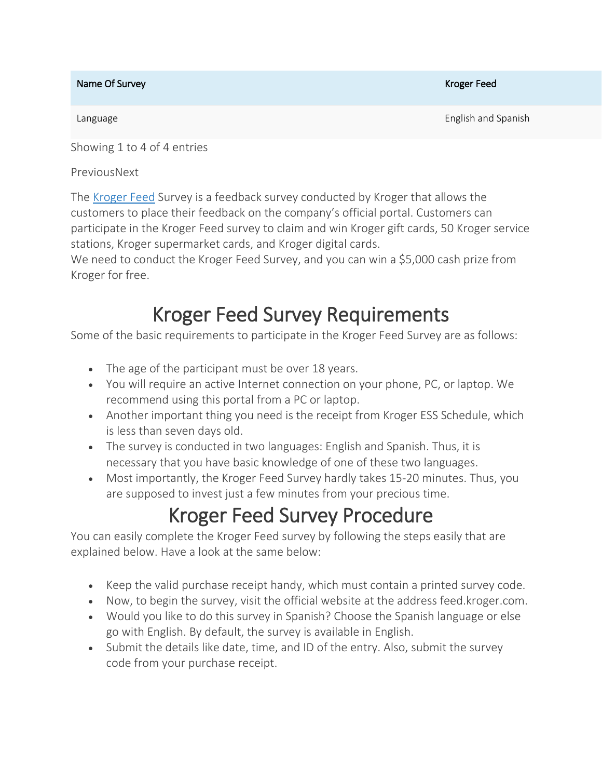#### Name Of Survey Name of Survey Kroger Feed

Language **English and Spanish and Spanish and Spanish and Spanish and Spanish and Spanish and Spanish and Spanish and Spanish and Spanish and Spanish and Spanish and Spanish and Spanish and Spanish and Spanish and Spanish** 

Showing 1 to 4 of 4 entries

PreviousNext

The [Kroger](https://krogerexperiencee.com/greatpeople-me-kroger-employee-login-portal/) Feed Survey is a feedback survey conducted by Kroger that allows the customers to place their feedback on the company's official portal. Customers can participate in the Kroger Feed survey to claim and win Kroger gift cards, 50 Kroger service stations, Kroger supermarket cards, and Kroger digital cards.

We need to conduct the Kroger Feed Survey, and you can win a \$5,000 cash prize from Kroger for free.

# Kroger Feed Survey Requirements

Some of the basic requirements to participate in the Kroger Feed Survey are as follows:

- The age of the participant must be over 18 years.
- You will require an active Internet connection on your phone, PC, or laptop. We recommend using this portal from a PC or laptop.
- Another important thing you need is the receipt from Kroger ESS Schedule, which is less than seven days old.
- The survey is conducted in two languages: English and Spanish. Thus, it is necessary that you have basic knowledge of one of these two languages.
- Most importantly, the Kroger Feed Survey hardly takes 15-20 minutes. Thus, you are supposed to invest just a few minutes from your precious time.

# Kroger Feed Survey Procedure

You can easily complete the Kroger Feed survey by following the steps easily that are explained below. Have a look at the same below:

- Keep the valid purchase receipt handy, which must contain a printed survey code.
- Now, to begin the survey, visit the official website at the address feed.kroger.com.
- Would you like to do this survey in Spanish? Choose the Spanish language or else go with English. By default, the survey is available in English.
- Submit the details like date, time, and ID of the entry. Also, submit the survey code from your purchase receipt.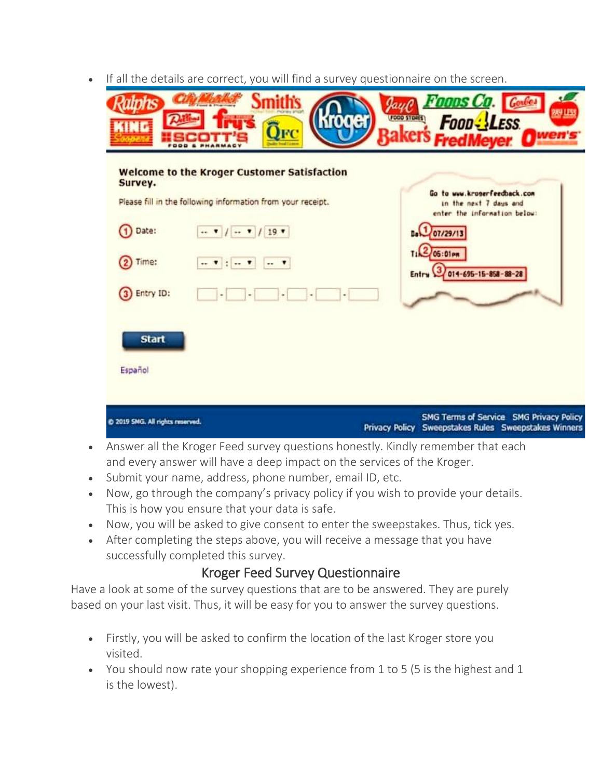• If all the details are correct, you will find a survey questionnaire on the screen.

| <b>Kroger</b><br><b>TNG</b><br>OFC                                    | <i>Foons Co.</i><br>图里<br>(FOOD \$108(\$)<br><b>Food: LESS</b><br>akers FredMeyer Owen's |
|-----------------------------------------------------------------------|------------------------------------------------------------------------------------------|
| <b>Welcome to the Kroger Customer Satisfaction</b><br>Survey.         |                                                                                          |
| Please fill in the following information from your receipt.           | Go to www.kroserfeedback.com<br>in the next 7 days and<br>enter the information below:   |
| $(1)$ Date:<br>$\cdots$ $\bullet$ / $\cdots$ $\bullet$ / 19 $\bullet$ | De 07/29/13                                                                              |
| Time:<br>$\cdots$                                                     | $T_1 2 06:01$ PM<br>Entry 3 014-695-15-858-88-28                                         |
| 3 Entry ID:                                                           |                                                                                          |
| <b>Start</b>                                                          |                                                                                          |
| Español                                                               |                                                                                          |
|                                                                       | <b>SMG Terms of Service SMG Privacy Policy</b>                                           |

- Answer all the Kroger Feed survey questions honestly. Kindly remember that each and every answer will have a deep impact on the services of the Kroger.
- Submit your name, address, phone number, email ID, etc.
- Now, go through the company's privacy policy if you wish to provide your details. This is how you ensure that your data is safe.
- Now, you will be asked to give consent to enter the sweepstakes. Thus, tick yes.
- After completing the steps above, you will receive a message that you have successfully completed this survey.

#### Kroger Feed Survey Questionnaire

Have a look at some of the survey questions that are to be answered. They are purely based on your last visit. Thus, it will be easy for you to answer the survey questions.

- Firstly, you will be asked to confirm the location of the last Kroger store you visited.
- You should now rate your shopping experience from 1 to 5 (5 is the highest and 1 is the lowest).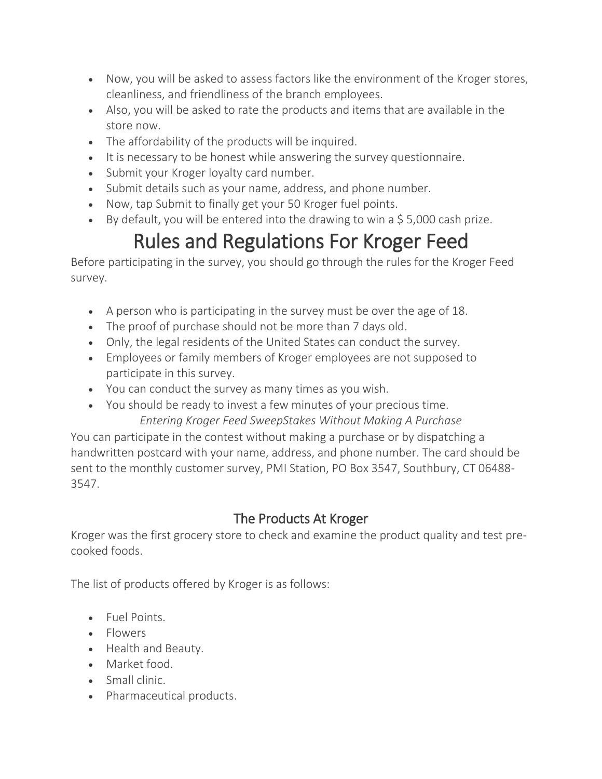- Now, you will be asked to assess factors like the environment of the Kroger stores, cleanliness, and friendliness of the branch employees.
- Also, you will be asked to rate the products and items that are available in the store now.
- The affordability of the products will be inquired.
- It is necessary to be honest while answering the survey questionnaire.
- Submit your Kroger loyalty card number.
- Submit details such as your name, address, and phone number.
- Now, tap Submit to finally get your 50 Kroger fuel points.
- By default, you will be entered into the drawing to win a  $$5,000$  cash prize.

# Rules and Regulations For Kroger Feed

Before participating in the survey, you should go through the rules for the Kroger Feed survey.

- A person who is participating in the survey must be over the age of 18.
- The proof of purchase should not be more than 7 days old.
- Only, the legal residents of the United States can conduct the survey.
- Employees or family members of Kroger employees are not supposed to participate in this survey.
- You can conduct the survey as many times as you wish.
- You should be ready to invest a few minutes of your precious time. *Entering Kroger Feed SweepStakes Without Making A Purchase*

You can participate in the contest without making a purchase or by dispatching a handwritten postcard with your name, address, and phone number. The card should be sent to the monthly customer survey, PMI Station, PO Box 3547, Southbury, CT 06488- 3547.

### The Products At Kroger

Kroger was the first grocery store to check and examine the product quality and test precooked foods.

The list of products offered by Kroger is as follows:

- Fuel Points.
- Flowers
- Health and Beauty.
- Market food.
- Small clinic.
- Pharmaceutical products.